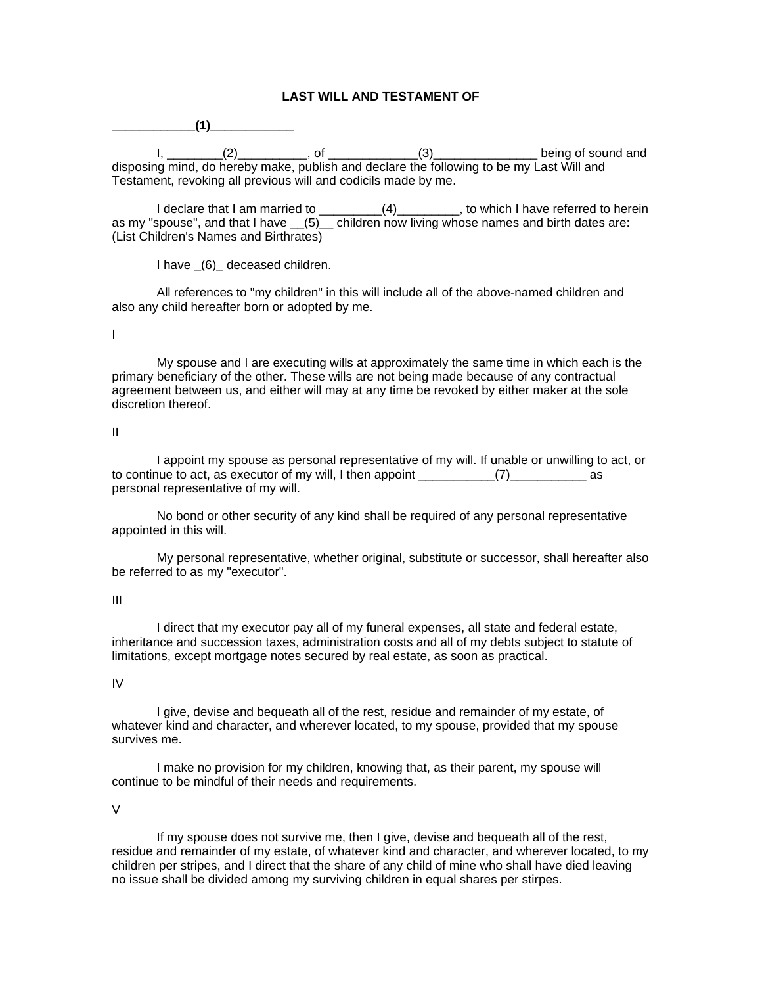# **LAST WILL AND TESTAMENT OF**

**\_\_\_\_\_\_\_\_\_\_\_\_(1)\_\_\_\_\_\_\_\_\_\_\_\_**

I, \_\_\_\_\_\_\_\_(2)\_\_\_\_\_\_\_\_\_\_, of \_\_\_\_\_\_\_\_\_\_\_\_\_(3)\_\_\_\_\_\_\_\_\_\_\_\_\_\_\_ being of sound and disposing mind, do hereby make, publish and declare the following to be my Last Will and Testament, revoking all previous will and codicils made by me.

I declare that I am married to \_\_\_\_\_\_\_\_\_\_\_(4)\_\_\_\_\_\_\_\_\_\_, to which I have referred to herein as my "spouse", and that I have \_\_(5)\_\_ children now living whose names and birth dates are: (List Children's Names and Birthrates)

I have  $(6)$  deceased children.

All references to "my children" in this will include all of the above-named children and also any child hereafter born or adopted by me.

I

My spouse and I are executing wills at approximately the same time in which each is the primary beneficiary of the other. These wills are not being made because of any contractual agreement between us, and either will may at any time be revoked by either maker at the sole discretion thereof.

II

I appoint my spouse as personal representative of my will. If unable or unwilling to act, or to continue to act, as executor of my will, I then appoint \_\_\_\_\_\_\_\_\_\_\_(7)\_\_\_\_\_\_\_\_\_\_\_ as personal representative of my will.

No bond or other security of any kind shall be required of any personal representative appointed in this will.

My personal representative, whether original, substitute or successor, shall hereafter also be referred to as my "executor".

#### III

I direct that my executor pay all of my funeral expenses, all state and federal estate, inheritance and succession taxes, administration costs and all of my debts subject to statute of limitations, except mortgage notes secured by real estate, as soon as practical.

# IV

I give, devise and bequeath all of the rest, residue and remainder of my estate, of whatever kind and character, and wherever located, to my spouse, provided that my spouse survives me.

I make no provision for my children, knowing that, as their parent, my spouse will continue to be mindful of their needs and requirements.

## V

If my spouse does not survive me, then I give, devise and bequeath all of the rest, residue and remainder of my estate, of whatever kind and character, and wherever located, to my children per stripes, and I direct that the share of any child of mine who shall have died leaving no issue shall be divided among my surviving children in equal shares per stirpes.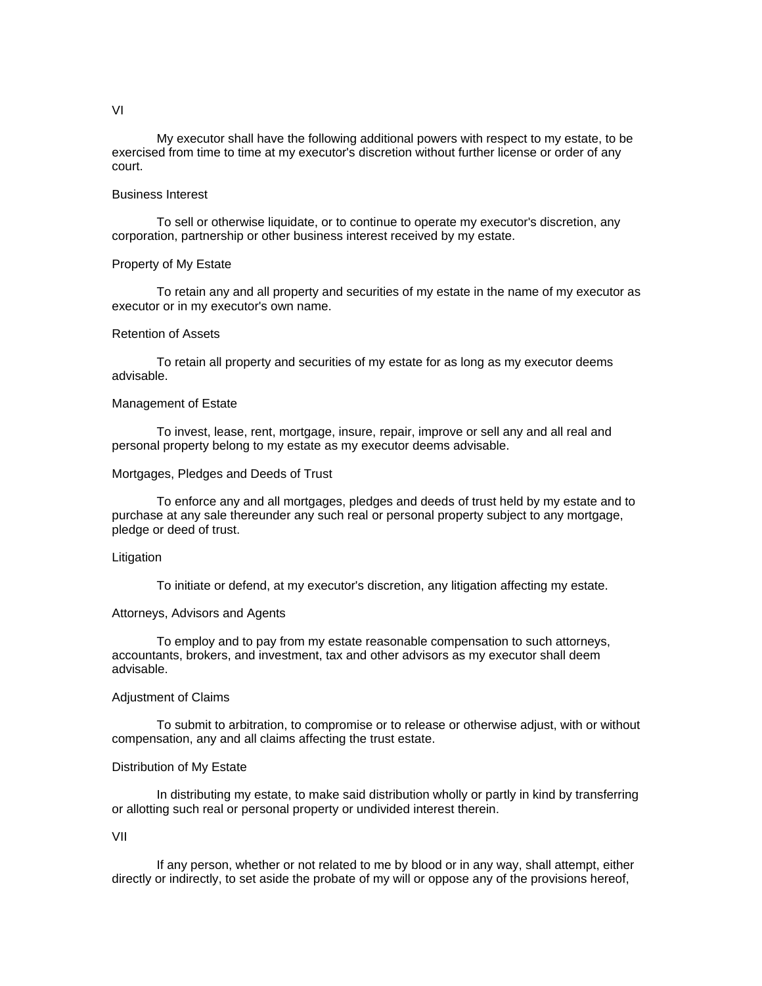My executor shall have the following additional powers with respect to my estate, to be exercised from time to time at my executor's discretion without further license or order of any court.

## Business Interest

To sell or otherwise liquidate, or to continue to operate my executor's discretion, any corporation, partnership or other business interest received by my estate.

#### Property of My Estate

To retain any and all property and securities of my estate in the name of my executor as executor or in my executor's own name.

#### Retention of Assets

To retain all property and securities of my estate for as long as my executor deems advisable.

### Management of Estate

To invest, lease, rent, mortgage, insure, repair, improve or sell any and all real and personal property belong to my estate as my executor deems advisable.

### Mortgages, Pledges and Deeds of Trust

To enforce any and all mortgages, pledges and deeds of trust held by my estate and to purchase at any sale thereunder any such real or personal property subject to any mortgage, pledge or deed of trust.

#### Litigation

To initiate or defend, at my executor's discretion, any litigation affecting my estate.

#### Attorneys, Advisors and Agents

To employ and to pay from my estate reasonable compensation to such attorneys, accountants, brokers, and investment, tax and other advisors as my executor shall deem advisable.

#### Adjustment of Claims

To submit to arbitration, to compromise or to release or otherwise adjust, with or without compensation, any and all claims affecting the trust estate.

### Distribution of My Estate

In distributing my estate, to make said distribution wholly or partly in kind by transferring or allotting such real or personal property or undivided interest therein.

#### VII

If any person, whether or not related to me by blood or in any way, shall attempt, either directly or indirectly, to set aside the probate of my will or oppose any of the provisions hereof,